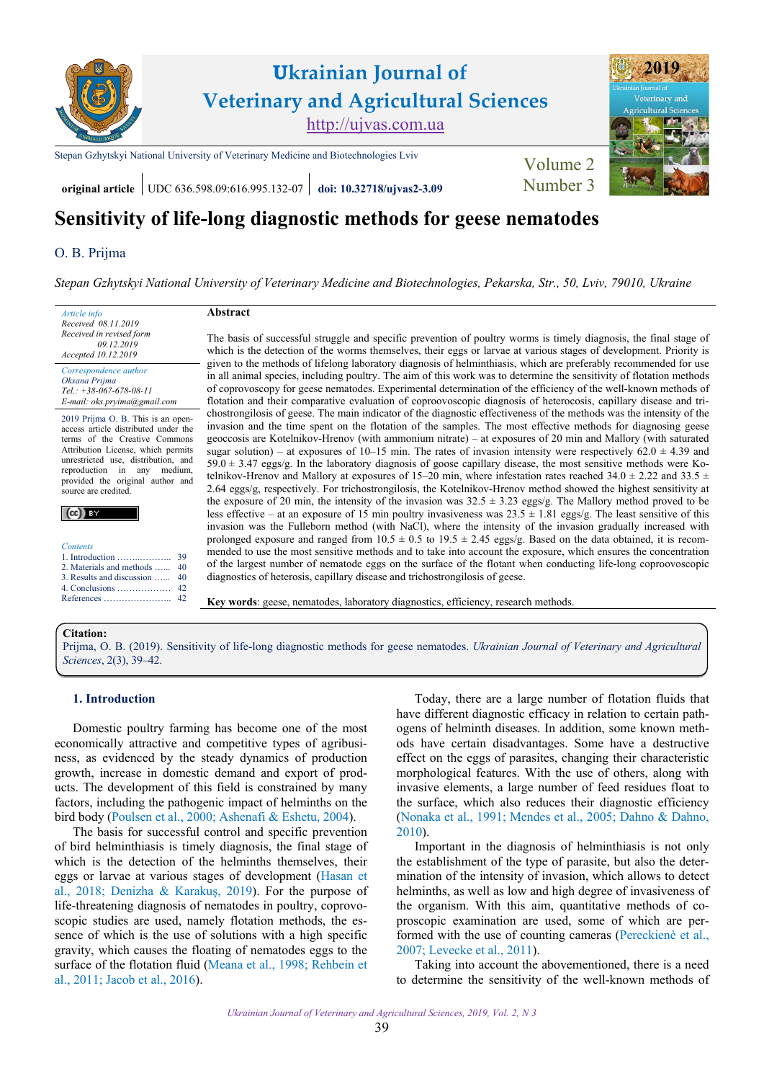

**original article** UDC 636.598.09:616.995.132-07 **[doi: 10.32718/ujvas2-3.09](https://doi.org/10.32718/ujvas2-3.09)** Number 3

# **Sensitivity of life-long diagnostic methods for geese nematodes**

## O. [B. Prijma](https://orcid.org/0000-0001-7050-822X)

*[Stepan Gzhytskyi National University of Veterinary Medicine and Biotechnologies, Pekarska, Str., 50, Lviv, 79010, Ukraine](https://lvet.edu.ua)*

*Article info Received 08.11.2019 Received in revised form 09.12.2019 Accepted 10.12.2019 Correspondence author [Oksana](https://scholar.google.com.ua/citations?hl=ru&user=yjrc7H0AAAAJ) Prijma*

*Tel.: +38-067-678-08-11 E-mail: oks.pryima@gmail.com*

2019 Prijma O. B. This is an openaccess article distributed under the terms of the Creative Commons Attribution License, which permits unrestricted use, distribution, and reproduction in any medium, provided the original author and source are credited.

| <b>Contents</b>               |  |
|-------------------------------|--|
|                               |  |
| 2. Materials and methods  40  |  |
| 3. Results and discussion  40 |  |
|                               |  |
|                               |  |

#### **Abstract**

The basis of successful struggle and specific prevention of poultry worms is timely diagnosis, the final stage of which is the detection of the worms themselves, their eggs or larvae at various stages of development. Priority is given to the methods of lifelong laboratory diagnosis of helminthiasis, which are preferably recommended for use in all animal species, including poultry. The aim of this work was to determine the sensitivity of flotation methods of coprovoscopy for geese nematodes. Experimental determination of the efficiency of the well-known methods of flotation and their comparative evaluation of coproovoscopic diagnosis of heterocosis, capillary disease and trichostrongilosis of geese. The main indicator of the diagnostic effectiveness of the methods was the intensity of the invasion and the time spent on the flotation of the samples. The most effective methods for diagnosing geese geoccosis are Kotelnikov-Hrenov (with ammonium nitrate) – at exposures of 20 min and Mallory (with saturated sugar solution) – at exposures of 10–15 min. The rates of invasion intensity were respectively  $62.0 \pm 4.39$  and 59.0 ± 3.47 eggs/g. In the laboratory diagnosis of goose capillary disease, the most sensitive methods were Kotelnikov-Hrenov and Mallory at exposures of 15–20 min, where infestation rates reached 34.0  $\pm$  2.22 and 33.5  $\pm$ 2.64 eggs/g, respectively. For trichostrongilosis, the Kotelnikov-Hrenov method showed the highest sensitivity at the exposure of 20 min, the intensity of the invasion was  $32.5 \pm 3.23$  eggs/g. The Mallory method proved to be less effective – at an exposure of 15 min poultry invasiveness was  $23.5 \pm 1.81$  eggs/g. The least sensitive of this invasion was the Fulleborn method (with NaCl), where the intensity of the invasion gradually increased with prolonged exposure and ranged from  $10.5 \pm 0.5$  to  $19.5 \pm 2.45$  eggs/g. Based on the data obtained, it is recommended to use the most sensitive methods and to take into account the exposure, which ensures the concentration of the largest number of nematode eggs on the surface of the flotant when conducting life-long coproovoscopic diagnostics of heterosis, capillary disease and trichostrongilosis of geese.

**Key words**: geese, nematodes, laboratory diagnostics, efficiency, research methods.

#### **Citation:**

Prijma, O. B. [\(2019\). Sensitivity of life-long diagnostic methods for geese nematodes.](https://doi.org/10.32718/ujvas2-3.09) *Ukrainian Journal of Veterinary and Agricultural Sciences*, 2(3), 39–42.

#### **1. Introduction**

Domestic poultry farming has become one of the most economically attractive and competitive types of agribusiness, as evidenced by the steady dynamics of production growth, increase in domestic demand and export of products. The development of this field is constrained by many factors, including the pathogenic impact of helminths on the bird body [\(Poulsen et al., 2000;](#page-3-0) [Ashenafi & Eshetu, 2004\)](#page-3-0).

The basis for successful control and specific prevention of bird helminthiasis is timely diagnosis, the final stage of which is the detection of the helminths themselves, their eggs or larvae at various stages of development [\(Hasan et](#page-3-0) al., [2018](#page-3-0); [Denizha & Karakuş, 2019](#page-3-0)). For the purpose of life-threatening diagnosis of nematodes in poultry, coprovoscopic studies are used, namely flotation methods, the essence of which is the use of solutions with a high specific gravity, which causes the floating of nematodes eggs to the surface of the flotation fluid [\(Meana et al., 1998](#page-3-0); [Rehbein et](#page-3-0) [al., 2011](#page-3-0); [Jacob et al., 2016](#page-3-0)).

Today, there are a large number of flotation fluids that have different diagnostic efficacy in relation to certain pathogens of helminth diseases. In addition, some known methods have certain disadvantages. Some have a destructive effect on the eggs of parasites, changing their characteristic morphological features. With the use of others, along with invasive elements, a large number of feed residues float to the surface, which also reduces their diagnostic efficiency [\(Nonaka et al., 1991; Mendes et al., 2005](#page-3-0); [Dahno & Dahno](#page-3-0), [2010](#page-3-0)).

Important in the diagnosis of helminthiasis is not only the establishment of the type of parasite, but also the determination of the intensity of invasion, which allows to detect helminths, as well as low and high degree of invasiveness of the organism. With this aim, quantitative methods of coproscopic examination are used, some of which are performed with the use of counting cameras [\(Pereckienè et al.,](#page-3-0)  [2007](#page-3-0); [Levecke et al., 2011](#page-3-0)).

Taking into account the abovementioned, there is a need to determine the sensitivity of the well-known methods of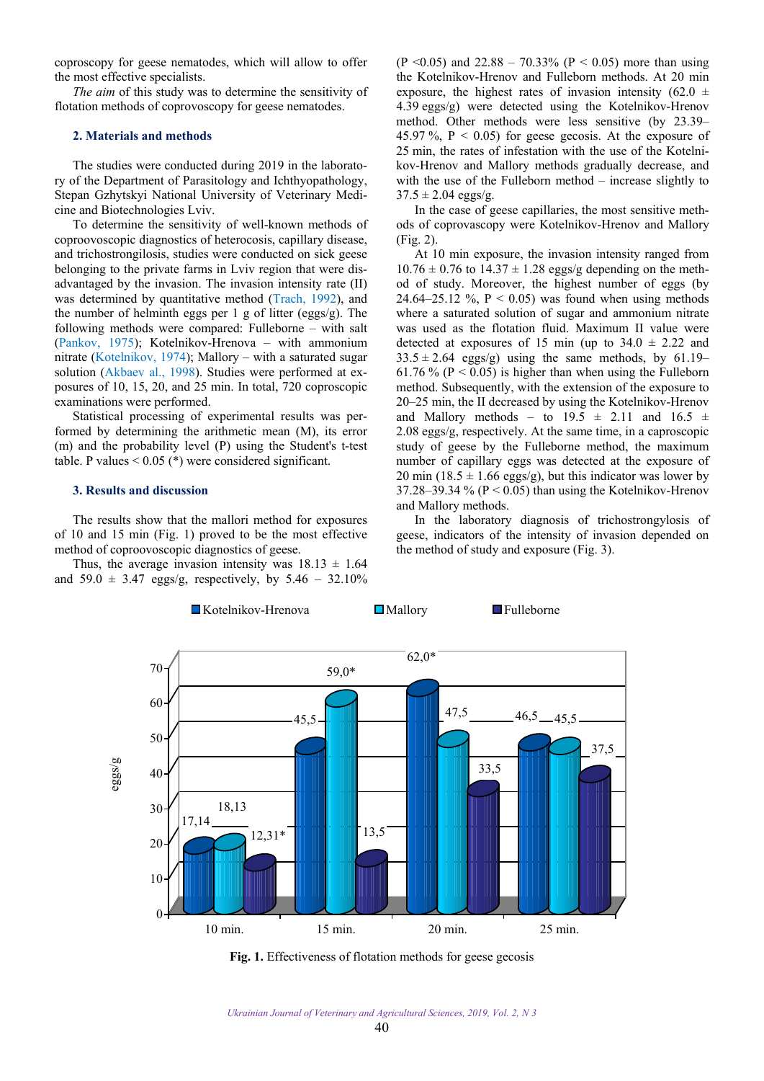<span id="page-1-0"></span>coproscopy for geese nematodes, which will allow to offer the most effective specialists.

*The aim* of this study was to determine the sensitivity of flotation methods of coprovoscopy for geese nematodes.

#### **2. Materials and methods**

The studies were conducted during 2019 in the laboratory of the Department of Parasitology and Ichthyopathology, Stepan Gzhytskyi National University of Veterinary Medicine and Biotechnologies Lviv.

To determine the sensitivity of well-known methods of coproovoscopic diagnostics of heterocosis, capillary disease, and trichostrongilosis, studies were conducted on sick geese belonging to the private farms in Lviv region that were disadvantaged by the invasion. The invasion intensity rate (II) was determined by quantitative method ([Trach, 1992](#page-3-0)), and the number of helminth eggs per 1 g of litter (eggs/g). The following methods were compared: Fulleborne – with salt ([Pankov, 1975\)](#page-3-0); Kotelnikov-Hrenova – with ammonium nitrate [\(Kotelnikov, 1974\)](#page-3-0); Mallory – with a saturated sugar solution ([Akbaev al., 1998](#page-3-0)). Studies were performed at exposures of 10, 15, 20, and 25 min. In total, 720 coproscopic examinations were performed.

Statistical processing of experimental results was performed by determining the arithmetic mean (M), its error (m) and the probability level (P) using the Student's t-test table. P values  $< 0.05$  (\*) were considered significant.

### **3. Results and discussion**

The results show that the mallori method for exposures of 10 and 15 min (Fig. 1) proved to be the most effective method of coproovoscopic diagnostics of geese.

Thus, the average invasion intensity was  $18.13 \pm 1.64$ and 59.0  $\pm$  3.47 eggs/g, respectively, by 5.46 – 32.10% (P < 0.05) and 22.88 – 70.33% (P < 0.05) more than using the Kotelnikov-Hrenov and Fulleborn methods. At 20 min exposure, the highest rates of invasion intensity (62.0  $\pm$ 4.39 eggs/g) were detected using the Kotelnikov-Hrenov method. Other methods were less sensitive (by 23.39– 45.97 %,  $P < 0.05$  for geese gecosis. At the exposure of 25 min, the rates of infestation with the use of the Kotelnikov-Hrenov and Mallory methods gradually decrease, and with the use of the Fulleborn method – increase slightly to  $37.5 \pm 2.04$  eggs/g.

In the case of geese capillaries, the most sensitive methods of coprovascopy were Kotelnikov-Hrenov and Mallory (Fig. 2).

At 10 min exposure, the invasion intensity ranged from  $10.76 \pm 0.76$  to  $14.37 \pm 1.28$  eggs/g depending on the method of study. Moreover, the highest number of eggs (by 24.64–25.12 %,  $P < 0.05$ ) was found when using methods where a saturated solution of sugar and ammonium nitrate was used as the flotation fluid. Maximum II value were detected at exposures of 15 min (up to  $34.0 \pm 2.22$  and  $33.5 \pm 2.64$  eggs/g) using the same methods, by 61.19– 61.76 % ( $P < 0.05$ ) is higher than when using the Fulleborn method. Subsequently, with the extension of the exposure to 20–25 min, the II decreased by using the Kotelnikov-Hrenov and Mallory methods – to  $19.5 \pm 2.11$  and  $16.5 \pm 1.11$ 2.08 eggs/g, respectively. At the same time, in a caproscopic study of geese by the Fulleborne method, the maximum number of capillary eggs was detected at the exposure of 20 min (18.5  $\pm$  1.66 eggs/g), but this indicator was lower by 37.28–39.34 % ( $P < 0.05$ ) than using the Kotelnikov-Hrenov and Mallory methods.

In the laboratory diagnosis of trichostrongylosis of geese, indicators of the intensity of invasion depended on the method of study and exposure (Fig. 3).



Fig. 1. Effectiveness of flotation methods for geese gecosis

*Ukrainian Journal of Veterinary and Agricultural Sciences, 2019, Vol. 2, N 3*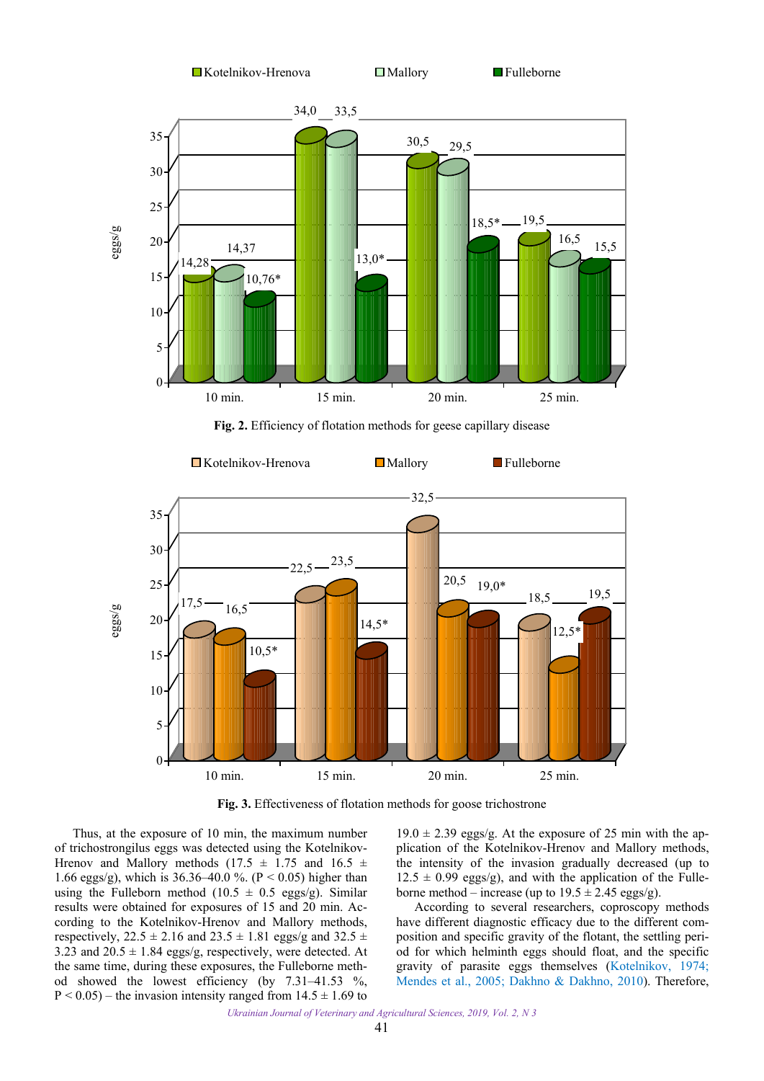



**Fig. 2.** Efficiency of flotation methods for geese capillary disease



**Fig. 3.** Effectiveness of flotation methods for goose trichostrone

Thus, at the exposure of 10 min, the maximum number of trichostrongilus eggs was detected using the Kotelnikov-Hrenov and Mallory methods (17.5  $\pm$  1.75 and 16.5  $\pm$ 1.66 eggs/g), which is 36.36–40.0 %. (P < 0.05) higher than using the Fulleborn method (10.5  $\pm$  0.5 eggs/g). Similar results were obtained for exposures of 15 and 20 min. According to the Kotelnikov-Hrenov and Mallory methods, respectively,  $22.5 \pm 2.16$  and  $23.5 \pm 1.81$  eggs/g and  $32.5 \pm 1.81$ 3.23 and  $20.5 \pm 1.84$  eggs/g, respectively, were detected. At the same time, during these exposures, the Fulleborne method showed the lowest efficiency (by 7.31–41.53 %,  $P < 0.05$ ) – the invasion intensity ranged from  $14.5 \pm 1.69$  to

 $19.0 \pm 2.39$  eggs/g. At the exposure of 25 min with the application of the Kotelnikov-Hrenov and Mallory methods, the intensity of the invasion gradually decreased (up to  $12.5 \pm 0.99$  eggs/g), and with the application of the Fulleborne method – increase (up to  $19.5 \pm 2.45$  eggs/g).

According to several researchers, coproscopy methods have different diagnostic efficacy due to the different composition and specific gravity of the flotant, the settling period for which helminth eggs should float, and the specific gravity of parasite eggs themselves ([Kotelnikov, 1974;](#page-3-0) [Mendes et al., 2005;](#page-3-0) Dakhno [& Dakhno, 2010](#page-3-0)). Therefore,